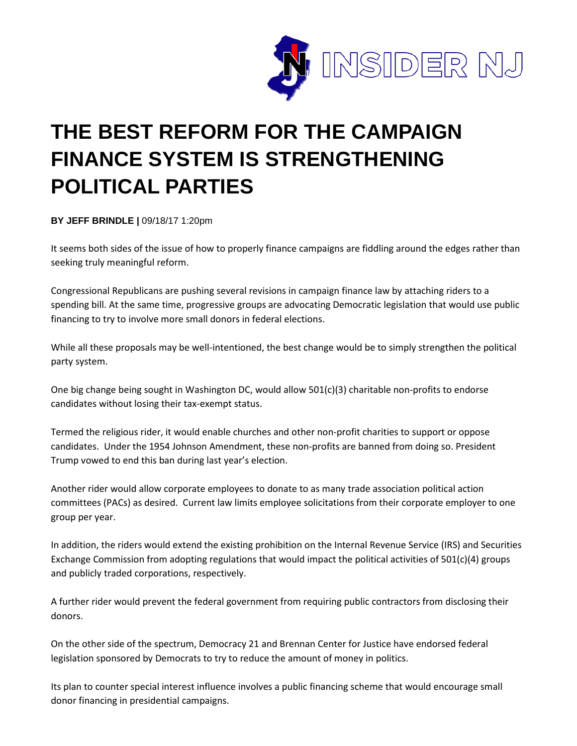

## **THE BEST REFORM FOR THE CAMPAIGN FINANCE SYSTEM IS STRENGTHENING POLITICAL PARTIES**

**BY JEFF BRINDLE |** 09/18/17 1:20pm

It seems both sides of the issue of how to properly finance campaigns are fiddling around the edges rather than seeking truly meaningful reform.

Congressional Republicans are pushing several revisions in campaign finance law by attaching riders to a spending bill. At the same time, progressive groups are advocating Democratic legislation that would use public financing to try to involve more small donors in federal elections.

While all these proposals may be well-intentioned, the best change would be to simply strengthen the political party system.

One big change being sought in Washington DC, would allow 501(c)(3) charitable non-profits to endorse candidates without losing their tax-exempt status.

Termed the religious rider, it would enable churches and other non-profit charities to support or oppose candidates. Under the 1954 Johnson Amendment, these non-profits are banned from doing so. President Trump vowed to end this ban during last year's election.

Another rider would allow corporate employees to donate to as many trade association political action committees (PACs) as desired. Current law limits employee solicitations from their corporate employer to one group per year.

In addition, the riders would extend the existing prohibition on the Internal Revenue Service (IRS) and Securities Exchange Commission from adopting regulations that would impact the political activities of 501(c)(4) groups and publicly traded corporations, respectively.

A further rider would prevent the federal government from requiring public contractors from disclosing their donors.

On the other side of the spectrum, Democracy 21 and Brennan Center for Justice have endorsed federal legislation sponsored by Democrats to try to reduce the amount of money in politics.

Its plan to counter special interest influence involves a public financing scheme that would encourage small donor financing in presidential campaigns.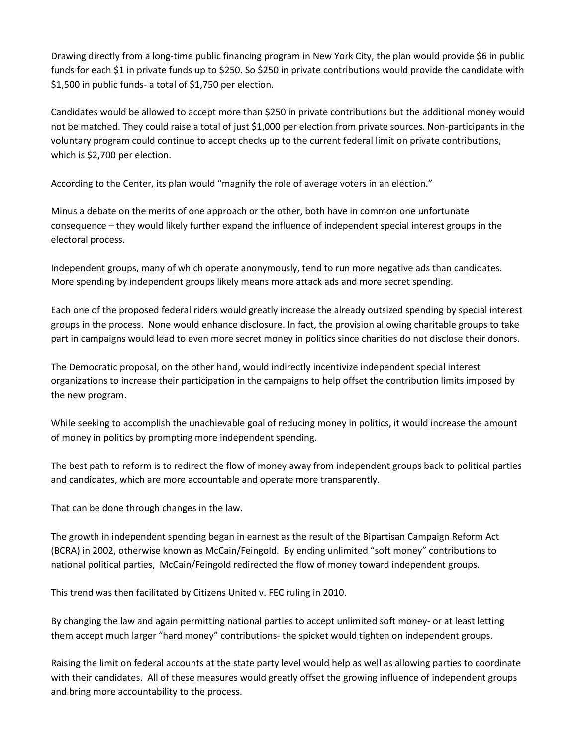Drawing directly from a long-time public financing program in New York City, the plan would provide \$6 in public funds for each \$1 in private funds up to \$250. So \$250 in private contributions would provide the candidate with \$1,500 in public funds- a total of \$1,750 per election.

Candidates would be allowed to accept more than \$250 in private contributions but the additional money would not be matched. They could raise a total of just \$1,000 per election from private sources. Non-participants in the voluntary program could continue to accept checks up to the current federal limit on private contributions, which is \$2,700 per election.

According to the Center, its plan would "magnify the role of average voters in an election."

Minus a debate on the merits of one approach or the other, both have in common one unfortunate consequence – they would likely further expand the influence of independent special interest groups in the electoral process.

Independent groups, many of which operate anonymously, tend to run more negative ads than candidates. More spending by independent groups likely means more attack ads and more secret spending.

Each one of the proposed federal riders would greatly increase the already outsized spending by special interest groups in the process. None would enhance disclosure. In fact, the provision allowing charitable groups to take part in campaigns would lead to even more secret money in politics since charities do not disclose their donors.

The Democratic proposal, on the other hand, would indirectly incentivize independent special interest organizations to increase their participation in the campaigns to help offset the contribution limits imposed by the new program.

While seeking to accomplish the unachievable goal of reducing money in politics, it would increase the amount of money in politics by prompting more independent spending.

The best path to reform is to redirect the flow of money away from independent groups back to political parties and candidates, which are more accountable and operate more transparently.

That can be done through changes in the law.

The growth in independent spending began in earnest as the result of the Bipartisan Campaign Reform Act (BCRA) in 2002, otherwise known as McCain/Feingold. By ending unlimited "soft money" contributions to national political parties, McCain/Feingold redirected the flow of money toward independent groups.

This trend was then facilitated by Citizens United v. FEC ruling in 2010.

By changing the law and again permitting national parties to accept unlimited soft money- or at least letting them accept much larger "hard money" contributions- the spicket would tighten on independent groups.

Raising the limit on federal accounts at the state party level would help as well as allowing parties to coordinate with their candidates. All of these measures would greatly offset the growing influence of independent groups and bring more accountability to the process.